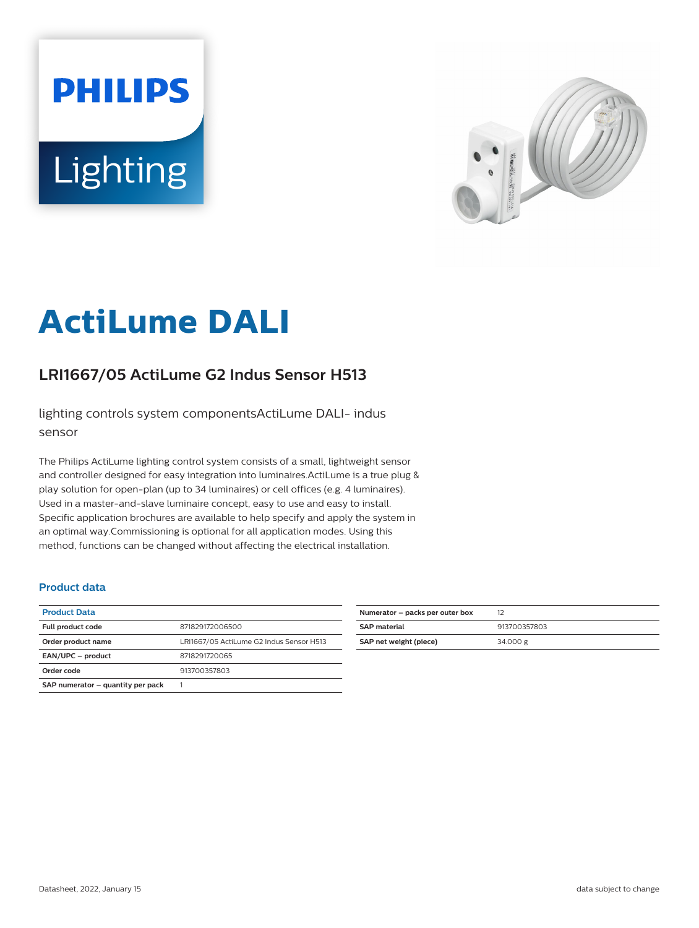# **PHILIPS** Lighting



# **ActiLume DALI**

## **LRI1667/05 ActiLume G2 Indus Sensor H513**

lighting controls system componentsActiLume DALI- indus sensor

The Philips ActiLume lighting control system consists of a small, lightweight sensor and controller designed for easy integration into luminaires.ActiLume is a true plug & play solution for open-plan (up to 34 luminaires) or cell offices (e.g. 4 luminaires). Used in a master-and-slave luminaire concept, easy to use and easy to install. Specific application brochures are available to help specify and apply the system in an optimal way.Commissioning is optional for all application modes. Using this method, functions can be changed without affecting the electrical installation.

#### **Product data**

| <b>Product Data</b>               |                                          |
|-----------------------------------|------------------------------------------|
| Full product code                 | 871829172006500                          |
| Order product name                | LRI1667/05 ActiLume G2 Indus Sensor H513 |
| EAN/UPC - product                 | 8718291720065                            |
| Order code                        | 913700357803                             |
| SAP numerator - quantity per pack |                                          |

| Numerator - packs per outer box | 12           |
|---------------------------------|--------------|
| <b>SAP material</b>             | 913700357803 |
| SAP net weight (piece)          | 34.000 $g$   |